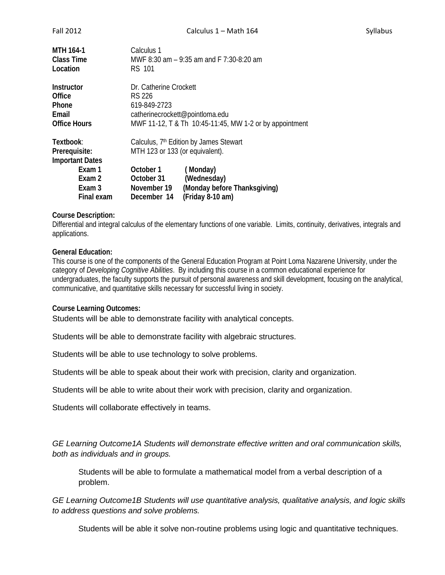| MTH 164-1                                                                                        | Calculus 1                                                                                                                                                                                                                    |  |
|--------------------------------------------------------------------------------------------------|-------------------------------------------------------------------------------------------------------------------------------------------------------------------------------------------------------------------------------|--|
| Class Time                                                                                       | MWF 8:30 am - 9:35 am and F 7:30-8:20 am                                                                                                                                                                                      |  |
| Location                                                                                         | RS 101                                                                                                                                                                                                                        |  |
| Instructor                                                                                       | Dr. Catherine Crockett                                                                                                                                                                                                        |  |
| Office                                                                                           | RS 226                                                                                                                                                                                                                        |  |
| Phone                                                                                            | 619-849-2723                                                                                                                                                                                                                  |  |
| Email                                                                                            | catherinecrockett@pointloma.edu                                                                                                                                                                                               |  |
| <b>Office Hours</b>                                                                              | MWF 11-12, T & Th 10:45-11:45, MW 1-2 or by appointment                                                                                                                                                                       |  |
| Textbook:<br>Prerequisite:<br><b>Important Dates</b><br>Exam 1<br>Exam 2<br>Exam 3<br>Final exam | Calculus, 7 <sup>th</sup> Edition by James Stewart<br>MTH 123 or 133 (or equivalent).<br>October 1<br>(Monday)<br>(Wednesday)<br>October 31<br>(Monday before Thanksgiving)<br>November 19<br>(Friday 8-10 am)<br>December 14 |  |

## **Course Description:**

Differential and integral calculus of the elementary functions of one variable. Limits, continuity, derivatives, integrals and applications.

### **General Education:**

This course is one of the components of the General Education Program at Point Loma Nazarene University, under the category of *Developing Cognitive Abilities*. By including this course in a common educational experience for undergraduates, the faculty supports the pursuit of personal awareness and skill development, focusing on the analytical, communicative, and quantitative skills necessary for successful living in society.

#### **Course Learning Outcomes:**

Students will be able to demonstrate facility with analytical concepts.

Students will be able to demonstrate facility with algebraic structures.

Students will be able to use technology to solve problems.

Students will be able to speak about their work with precision, clarity and organization.

Students will be able to write about their work with precision, clarity and organization.

Students will collaborate effectively in teams.

*GE Learning Outcome1A Students will demonstrate effective written and oral communication skills, both as individuals and in groups.*

Students will be able to formulate a mathematical model from a verbal description of a problem.

*GE Learning Outcome1B Students will use quantitative analysis, qualitative analysis, and logic skills to address questions and solve problems.*

Students will be able it solve non-routine problems using logic and quantitative techniques.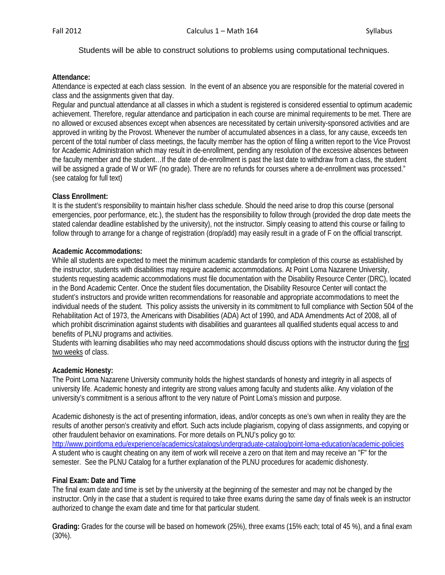## Students will be able to construct solutions to problems using computational techniques.

### **Attendance:**

Attendance is expected at each class session. In the event of an absence you are responsible for the material covered in class and the assignments given that day.

Regular and punctual attendance at all classes in which a student is registered is considered essential to optimum academic achievement. Therefore, regular attendance and participation in each course are minimal requirements to be met. There are no allowed or excused absences except when absences are necessitated by certain university-sponsored activities and are approved in writing by the Provost. Whenever the number of accumulated absences in a class, for any cause, exceeds ten percent of the total number of class meetings, the faculty member has the option of filing a written report to the Vice Provost for Academic Administration which may result in de-enrollment, pending any resolution of the excessive absences between the faculty member and the student…If the date of de-enrollment is past the last date to withdraw from a class, the student will be assigned a grade of W or WF (no grade). There are no refunds for courses where a de-enrollment was processed." (see catalog for full text)

### **Class Enrollment:**

It is the student's responsibility to maintain his/her class schedule. Should the need arise to drop this course (personal emergencies, poor performance, etc.), the student has the responsibility to follow through (provided the drop date meets the stated calendar deadline established by the university), not the instructor. Simply ceasing to attend this course or failing to follow through to arrange for a change of registration (drop/add) may easily result in a grade of F on the official transcript.

## **Academic Accommodations:**

While all students are expected to meet the minimum academic standards for completion of this course as established by the instructor, students with disabilities may require academic accommodations. At Point Loma Nazarene University, students requesting academic accommodations must file documentation with the Disability Resource Center (DRC), located in the Bond Academic Center. Once the student files documentation, the Disability Resource Center will contact the student's instructors and provide written recommendations for reasonable and appropriate accommodations to meet the individual needs of the student. This policy assists the university in its commitment to full compliance with Section 504 of the Rehabilitation Act of 1973, the Americans with Disabilities (ADA) Act of 1990, and ADA Amendments Act of 2008, all of which prohibit discrimination against students with disabilities and quarantees all qualified students equal access to and benefits of PLNU programs and activities.

Students with learning disabilities who may need accommodations should discuss options with the instructor during the first two weeks of class.

### **Academic Honesty:**

The Point Loma Nazarene University community holds the highest standards of honesty and integrity in all aspects of university life. Academic honesty and integrity are strong values among faculty and students alike. Any violation of the university's commitment is a serious affront to the very nature of Point Loma's mission and purpose.

Academic dishonesty is the act of presenting information, ideas, and/or concepts as one's own when in reality they are the results of another person's creativity and effort. Such acts include plagiarism, copying of class assignments, and copying or other fraudulent behavior on examinations. For more details on PLNU's policy go to: <http://www.pointloma.edu/experience/academics/catalogs/undergraduate-catalog/point-loma-education/academic-policies> A student who is caught cheating on any item of work will receive a zero on that item and may receive an "F" for the semester. See the PLNU Catalog for a further explanation of the PLNU procedures for academic dishonesty.

### **Final Exam: Date and Time**

The final exam date and time is set by the university at the beginning of the semester and may not be changed by the instructor. Only in the case that a student is required to take three exams during the same day of finals week is an instructor authorized to change the exam date and time for that particular student.

**Grading:** Grades for the course will be based on homework (25%), three exams (15% each; total of 45 %), and a final exam (30%).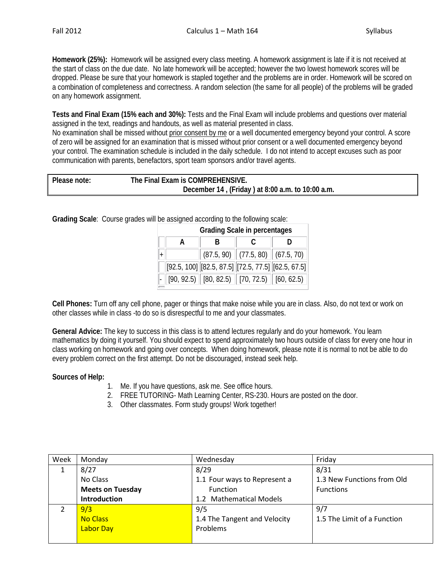**Homework (25%):** Homework will be assigned every class meeting. A homework assignment is late if it is not received at the start of class on the due date. No late homework will be accepted; however the two lowest homework scores will be dropped. Please be sure that your homework is stapled together and the problems are in order. Homework will be scored on a combination of completeness and correctness. A random selection (the same for all people) of the problems will be graded on any homework assignment.

**Tests and Final Exam (15% each and 30%):** Tests and the Final Exam will include problems and questions over material assigned in the text, readings and handouts, as well as material presented in class.

No examination shall be missed without prior consent by me or a well documented emergency beyond your control. A score of zero will be assigned for an examination that is missed without prior consent or a well documented emergency beyond your control. The examination schedule is included in the daily schedule. I do not intend to accept excuses such as poor communication with parents, benefactors, sport team sponsors and/or travel agents.

| Please note: | The Final Exam is COMPREHENSIVE.                 |  |
|--------------|--------------------------------------------------|--|
|              | December 14, (Friday) at 8:00 a.m. to 10:00 a.m. |  |

**Grading Scale**: Course grades will be assigned according to the following scale:

| <b>Grading Scale in percentages</b> |   |  |                                                                                                                   |  |  |
|-------------------------------------|---|--|-------------------------------------------------------------------------------------------------------------------|--|--|
|                                     | R |  |                                                                                                                   |  |  |
|                                     |   |  | $(87.5, 90)$ $(77.5, 80)$ $(67.5, 70)$                                                                            |  |  |
|                                     |   |  | $[92.5, 100]$ $[82.5, 87.5]$ $[72.5, 77.5]$ $[62.5, 67.5]$                                                        |  |  |
|                                     |   |  | $\vert\cdot\vert$ [90, 92.5) $\vert\vert$ [80, 82.5) $\vert\vert$ [70, 72.5) $\vert\vert$ [60, 62.5) $\vert\vert$ |  |  |

**Cell Phones:** Turn off any cell phone, pager or things that make noise while you are in class. Also, do not text or work on other classes while in class -to do so is disrespectful to me and your classmates.

**General Advice:** The key to success in this class is to attend lectures regularly and do your homework. You learn mathematics by doing it yourself. You should expect to spend approximately two hours outside of class for every one hour in class working on homework and going over concepts. When doing homework, please note it is normal to not be able to do every problem correct on the first attempt. Do not be discouraged, instead seek help.

# **Sources of Help:**

- 1. Me. If you have questions, ask me. See office hours.
- 2. FREE TUTORING- Math Learning Center, RS-230. Hours are posted on the door.
- 3. Other classmates. Form study groups! Work together!

| Week | Monday                  | Wednesday                           | Friday                      |
|------|-------------------------|-------------------------------------|-----------------------------|
|      | 8/27                    | 8/29                                | 8/31                        |
|      | No Class                | 1.1 Four ways to Represent a        | 1.3 New Functions from Old  |
|      | <b>Meets on Tuesday</b> | <b>Function</b><br><b>Functions</b> |                             |
|      | <b>Introduction</b>     | 1.2 Mathematical Models             |                             |
|      | 9/3                     | 9/5                                 | 9/7                         |
|      | <b>No Class</b>         | 1.4 The Tangent and Velocity        | 1.5 The Limit of a Function |
|      | <b>Labor Day</b>        | Problems                            |                             |
|      |                         |                                     |                             |